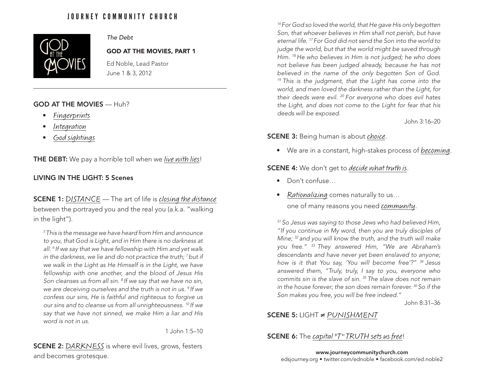# JOURNEY COMMUNITY CHURCH



# *The Debt*

#### GOD AT THE MOVIES, PART 1

Ed Noble, Lead Pastor June 1 & 3, 2012

## GOD AT THE MOVIES — Huh?

- Fingerprints
- Integration
- God sightings

THE DEBT: We pay a horrible toll when we live with lies!

# LIVING IN THE LIGHT: 5 Scenes

**SCENE 1:** DISTANCE — The art of life is closing the distance between the portrayed you and the real you (a.k.a. "walking in the light").

*5 This is the message we have heard from Him and announce to you, that God is Light, and in Him there is no darkness at all. 6 If we say that we have fellowship with Him and yet walk in the darkness, we lie and do not practice the truth; 7 but if we walk in the Light as He Himself is in the Light, we have fellowship with one another, and the blood of Jesus His Son cleanses us from all sin. 8 If we say that we have no sin, we are deceiving ourselves and the truth is not in us. 9 If we confess our sins, He is faithful and righteous to forgive us our sins and to cleanse us from all unrighteousness. 10 If we say that we have not sinned, we make Him a liar and His word is not in us.*

1 John 1:5–10

**SCENE 2: DARKNESS** is where evil lives, grows, festers and becomes grotesque.

*16 For God so loved the world, that He gave His only begotten Son, that whoever believes in Him shall not perish, but have eternal life. 17 For God did not send the Son into the world to judge the world, but that the world might be saved through Him. 18 He who believes in Him is not judged; he who does not believe has been judged already, because he has not believed in the name of the only begotten Son of God. 19 This is the judgment, that the Light has come into the world, and men loved the darkness rather than the Light, for their deeds were evil. 20 For everyone who does evil hates the Light, and does not come to the Light for fear that his deeds will be exposed.*

John 3:16–20

#### **SCENE 3:** Being human is about *choice*.

• We are in a constant, high-stakes process of *becoming*.

**SCENE 4:** We don't get to *decide what truth is*.

- Don't confuse…
- Rationalizing comes naturally to us...

one of many reasons you need community.

*31 So Jesus was saying to those Jews who had believed Him, "If you continue in My word, then you are truly disciples of Mine; 32 and you will know the truth, and the truth will make you free." 33 They answered Him, "We are Abraham's descendants and have never yet been enslaved to anyone; how is it that You say, 'You will become free'?" 34 Jesus answered them, "Truly, truly, I say to you, everyone who commits sin is the slave of sin. 35 The slave does not remain in the house forever; the son does remain forever. 36 So if the Son makes you free, you will be free indeed."*

John 8:31–36

## SCENE 5: LIGHT ≠ PUNISHMENT

# **SCENE 6:** The *capital* "T" TRUTH sets us free!